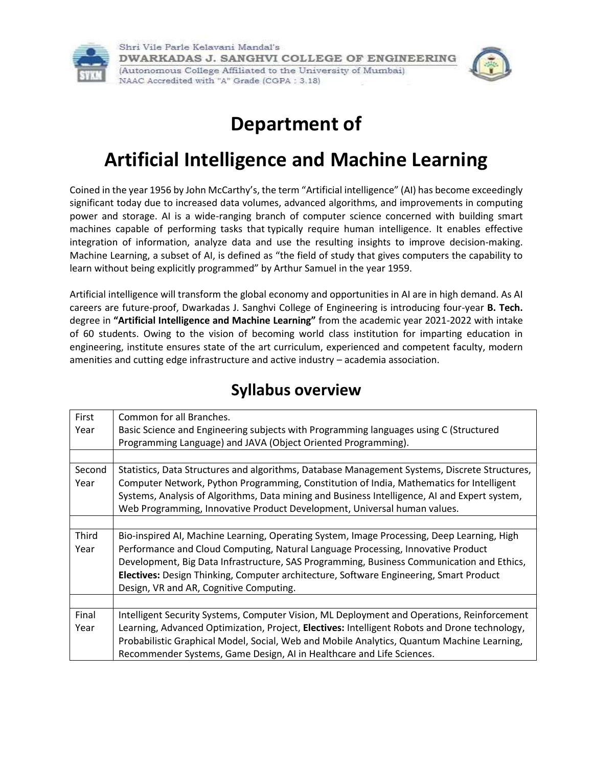

Shri Vile Parle Kelavani Mandal's DWARKADAS J. SANGHVI COLLEGE OF ENGINEERING (Autonomous College Affiliated to the University of Mumbai) NAAC Accredited with "A" Grade (CGPA: 3.18)



## **Department of**

# **Artificial Intelligence and Machine Learning**

Coined in the year 1956 by John McCarthy's, the term "Artificial intelligence" (AI) has become exceedingly significant today due to increased data volumes, advanced algorithms, and improvements in computing power and storage. AI is a wide-ranging branch of computer science concerned with building smart machines capable of performing tasks that typically require human intelligence. It enables effective integration of information, analyze data and use the resulting insights to improve decision-making. Machine Learning, a subset of AI, is defined as "the field of study that gives computers the capability to learn without being explicitly programmed" by Arthur Samuel in the year 1959.

Artificial intelligence will transform the global economy and opportunities in AI are in high demand. As AI careers are future-proof, Dwarkadas J. Sanghvi College of Engineering is introducing four-year **B. Tech.** degree in **"Artificial Intelligence and Machine Learning"** from the academic year 2021-2022 with intake of 60 students. Owing to the vision of becoming world class institution for imparting education in engineering, institute ensures state of the art curriculum, experienced and competent faculty, modern amenities and cutting edge infrastructure and active industry – academia association.

| First  | Common for all Branches.                                                                      |
|--------|-----------------------------------------------------------------------------------------------|
| Year   | Basic Science and Engineering subjects with Programming languages using C (Structured         |
|        | Programming Language) and JAVA (Object Oriented Programming).                                 |
|        |                                                                                               |
| Second | Statistics, Data Structures and algorithms, Database Management Systems, Discrete Structures, |
| Year   | Computer Network, Python Programming, Constitution of India, Mathematics for Intelligent      |
|        | Systems, Analysis of Algorithms, Data mining and Business Intelligence, AI and Expert system, |
|        | Web Programming, Innovative Product Development, Universal human values.                      |
|        |                                                                                               |
| Third  | Bio-inspired AI, Machine Learning, Operating System, Image Processing, Deep Learning, High    |
| Year   | Performance and Cloud Computing, Natural Language Processing, Innovative Product              |
|        | Development, Big Data Infrastructure, SAS Programming, Business Communication and Ethics,     |
|        | Electives: Design Thinking, Computer architecture, Software Engineering, Smart Product        |
|        | Design, VR and AR, Cognitive Computing.                                                       |
|        |                                                                                               |
| Final  | Intelligent Security Systems, Computer Vision, ML Deployment and Operations, Reinforcement    |
| Year   | Learning, Advanced Optimization, Project, Electives: Intelligent Robots and Drone technology, |
|        | Probabilistic Graphical Model, Social, Web and Mobile Analytics, Quantum Machine Learning,    |
|        | Recommender Systems, Game Design, AI in Healthcare and Life Sciences.                         |

### **Syllabus overview**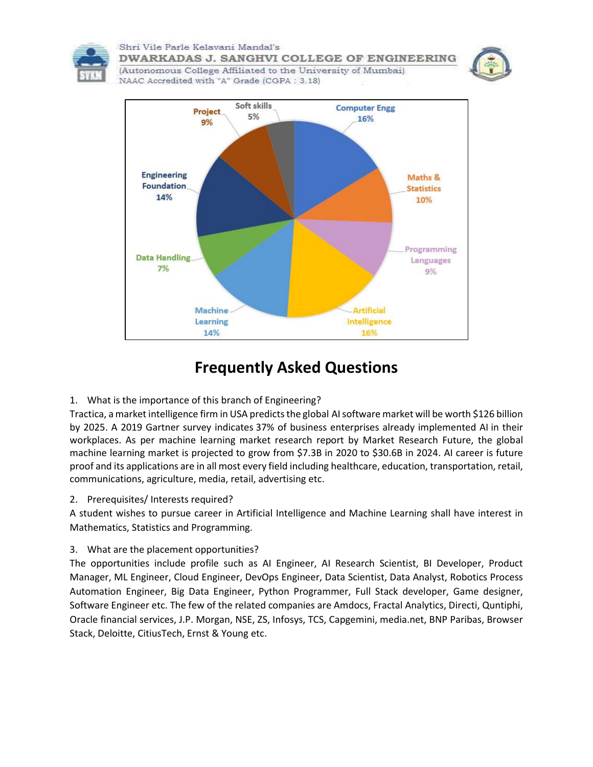

Shri Vile Parle Kelavani Mandal's DWARKADAS J. SANGHVI COLLEGE OF ENGINEERING



(Autonomous College Affiliated to the University of Mumbai) NAAC Accredited with "A" Grade (CGPA: 3.18)



## **Frequently Asked Questions**

1. What is the importance of this branch of Engineering?

Tractica, a market intelligence firm in USA predicts the global [AI software market will be worth \\$126 billion](https://www.tractica.com/newsroom/press-releases/artificial-intelligence-software-market-to-reach-126-0-billion-in-annual-worldwide-revenue-by-2025/)  [by 2025.](https://www.tractica.com/newsroom/press-releases/artificial-intelligence-software-market-to-reach-126-0-billion-in-annual-worldwide-revenue-by-2025/) A 2019 Gartner survey indicates [37% of business enterprises already implemented AI](https://www.gartner.com/en/newsroom/press-releases/2019-01-21-gartner-survey-shows-37-percent-of-organizations-have) in their workplaces. As per machine learning market research report by Market Research Future, the global machine learning market is projected to grow from \$7.3B in 2020 to \$30.6B in 2024. AI career is future proof and its applications are in all most every field including healthcare, education, transportation, retail, communications, agriculture, media, retail, advertising etc.

2. Prerequisites/ Interests required?

A student wishes to pursue career in Artificial Intelligence and Machine Learning shall have interest in Mathematics, Statistics and Programming.

3. What are the placement opportunities?

The opportunities include profile such as AI Engineer, AI Research Scientist, BI Developer, Product Manager, ML Engineer, Cloud Engineer, DevOps Engineer, Data Scientist, Data Analyst, Robotics Process Automation Engineer, Big Data Engineer, Python Programmer, Full Stack developer, Game designer, Software Engineer etc. The few of the related companies are Amdocs, Fractal Analytics, Directi, Quntiphi, Oracle financial services, J.P. Morgan, NSE, ZS, Infosys, TCS, Capgemini, media.net, BNP Paribas, Browser Stack, Deloitte, CitiusTech, Ernst & Young etc.